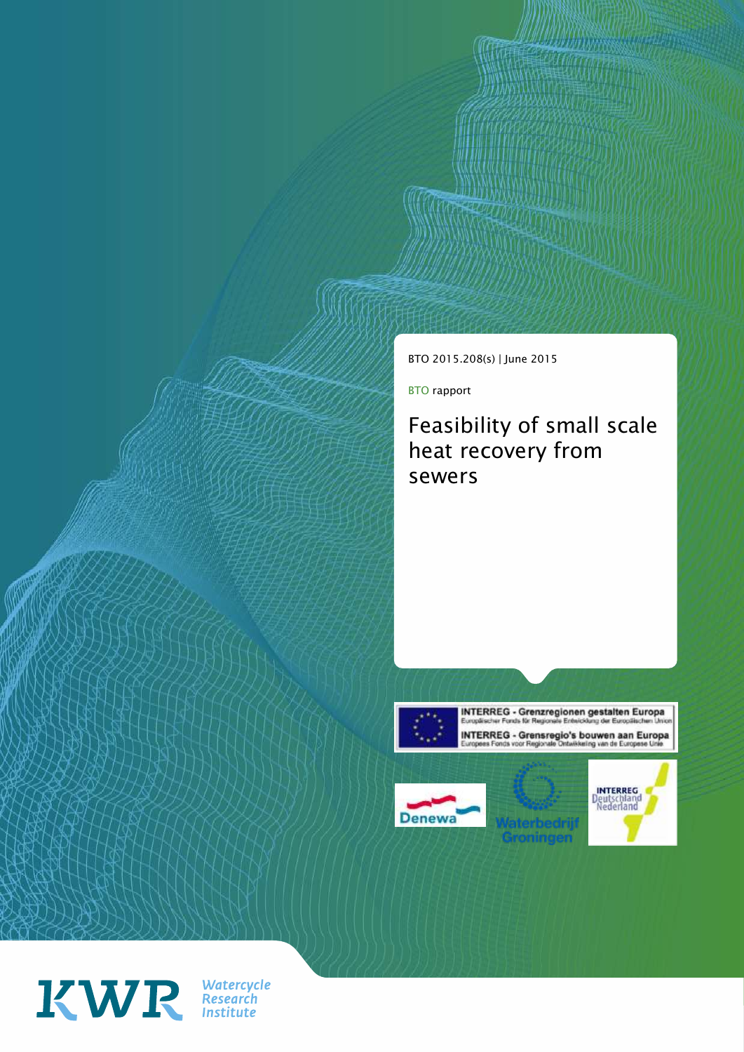

BTO rapport

### Feasibility of small scale heat recovery from sewers



INTERREG - Grenzregionen gestalten Europa **INTERREG - Grensregio's bouwen aan Europa**<br>Europees Fonds voor Regionate Detwikkeling van de Europese Unie



**INTERREG**<br>Deutschland<br>Nederland

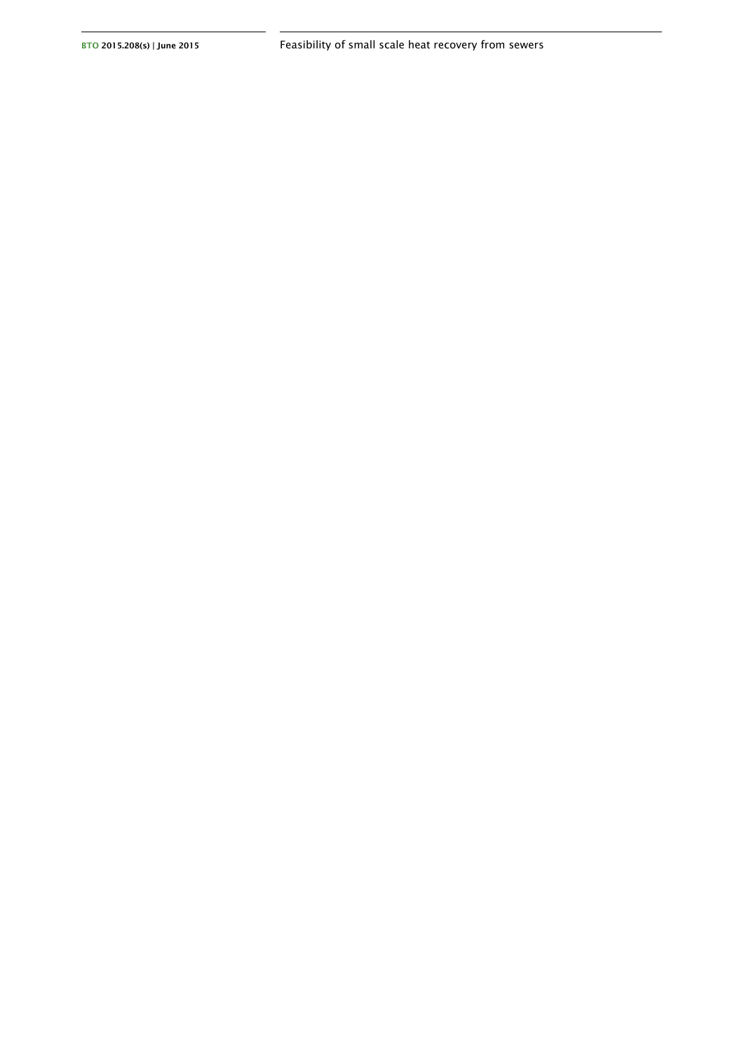**BTO 2015.208(s) | June 2015** Feasibility of small scale heat recovery from sewers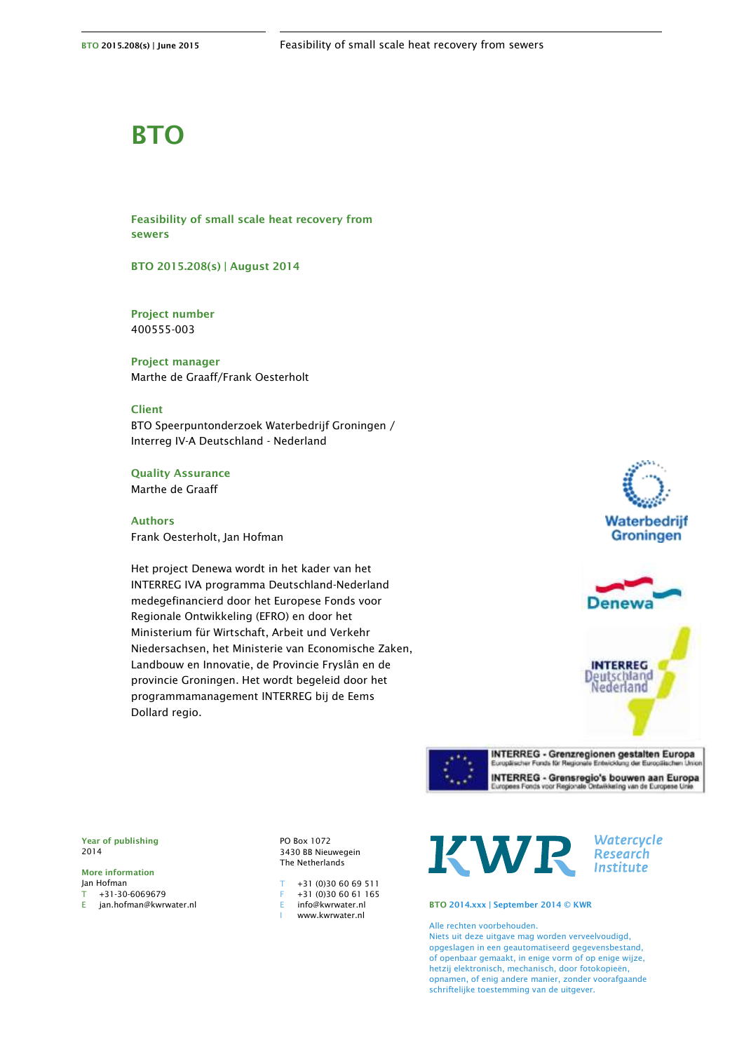### **BTO**

**Feasibility of small scale heat recovery from sewers**

**BTO 2015.208(s) | August 2014**

**Project number** 400555-003

**Project manager** Marthe de Graaff/Frank Oesterholt

### **Client**

BTO Speerpuntonderzoek Waterbedrijf Groningen / Interreg IV-A Deutschland - Nederland

**Quality Assurance** Marthe de Graaff

**Authors** Frank Oesterholt, Jan Hofman

Het project Denewa wordt in het kader van het INTERREG IVA programma Deutschland-Nederland medegefinancierd door het Europese Fonds voor Regionale Ontwikkeling (EFRO) en door het Ministerium für Wirtschaft, Arbeit und Verkehr Niedersachsen, het Ministerie van Economische Zaken, Landbouw en Innovatie, de Provincie Fryslân en de provincie Groningen. Het wordt begeleid door het programmamanagement INTERREG bij de Eems Dollard regio.









#### **More information** Jan Hofman

T +31-30-6069679

E jan.hofman@kwrwater.nl

PO Box 1072 3430 BB Nieuwegein The Netherlands

T +31 (0)30 60 69 511 F +31 (0)30 60 61 165

E [info@kwrwater.nl](mailto:info@kwrwater.nl) www.kwrwater.nl



**INTERREG - Grenzregionen gestalten Europa** discher Fonds für Regio a der Europäisch Entwick INTERREG - Grensregio's bouwen aan Europa s Fonds voor Regional eing van de Europ

KWR

### **Watercycle** Research Institute

**BTO 2014.xxx | September 2014 © KWR**

Alle rechten voorbehouden. Niets uit deze uitgave mag worden verveelvoudigd,

opgeslagen in een geautomatiseerd gegevensbestand, of openbaar gemaakt, in enige vorm of op enige wijze, hetzij elektronisch, mechanisch, door fotokopieën, opnamen, of enig andere manier, zonder voorafgaande schriftelijke toestemming van de uitgever.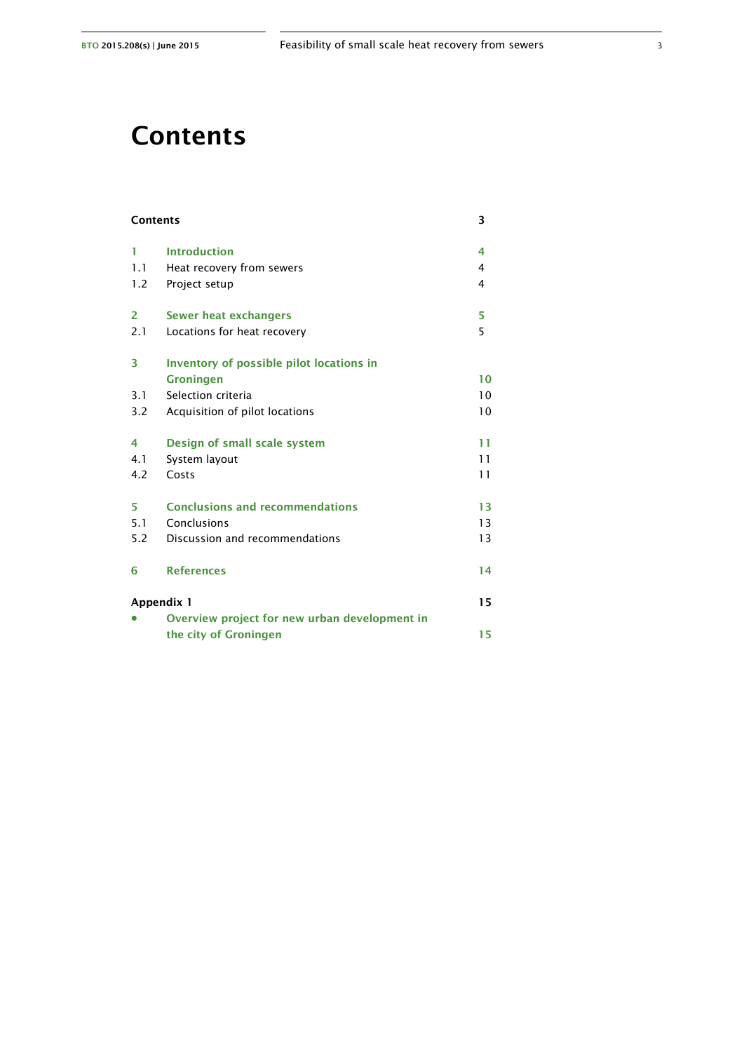## <span id="page-4-0"></span>**Contents**

| <b>Contents</b>  |                                               |                 |  |  |
|------------------|-----------------------------------------------|-----------------|--|--|
|                  |                                               |                 |  |  |
| 1                | <b>Introduction</b>                           | 4               |  |  |
| 1.1              | Heat recovery from sewers                     | 4               |  |  |
| 1.2              | Project setup                                 | 4               |  |  |
|                  |                                               |                 |  |  |
| $\overline{2}$   | <b>Sewer heat exchangers</b>                  | 5               |  |  |
| 2.1              | Locations for heat recovery                   | 5               |  |  |
| 3                | Inventory of possible pilot locations in      |                 |  |  |
|                  | <b>Groningen</b>                              | 10              |  |  |
| 3.1              | Selection criteria                            | 10 <sup>°</sup> |  |  |
| 3.2              | Acquisition of pilot locations                | 10              |  |  |
|                  |                                               |                 |  |  |
| 4                | Design of small scale system                  | 11              |  |  |
| 4.1              | System layout                                 | 11              |  |  |
| 4.2              | Costs                                         | 11              |  |  |
|                  |                                               |                 |  |  |
| 5                | <b>Conclusions and recommendations</b>        | 13              |  |  |
| 5.1              | Conclusions                                   | 13              |  |  |
| 5.2              | Discussion and recommendations                | 13              |  |  |
|                  |                                               |                 |  |  |
| 6                | <b>References</b>                             | 14              |  |  |
| 15<br>Appendix 1 |                                               |                 |  |  |
|                  | Overview project for new urban development in |                 |  |  |
|                  | the city of Groningen                         | 15              |  |  |
|                  |                                               |                 |  |  |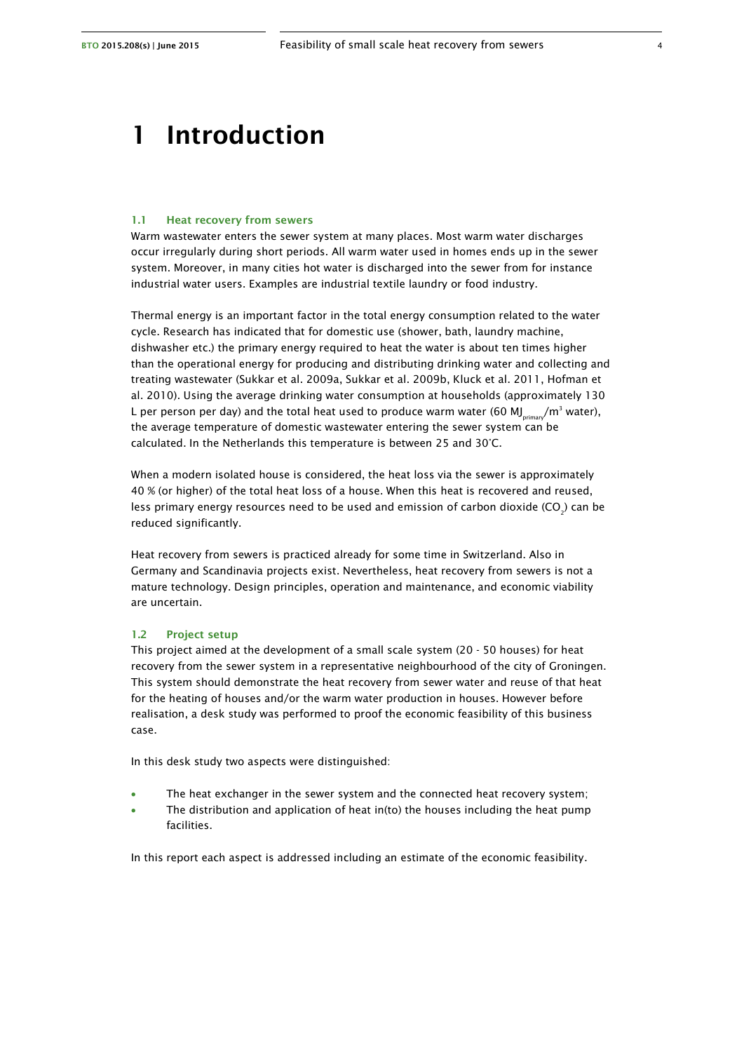### <span id="page-5-0"></span>**1 Introduction**

#### <span id="page-5-1"></span>**1.1 Heat recovery from sewers**

Warm wastewater enters the sewer system at many places. Most warm water discharges occur irregularly during short periods. All warm water used in homes ends up in the sewer system. Moreover, in many cities hot water is discharged into the sewer from for instance industrial water users. Examples are industrial textile laundry or food industry.

Thermal energy is an important factor in the total energy consumption related to the water cycle. Research has indicated that for domestic use (shower, bath, laundry machine, dishwasher etc.) the primary energy required to heat the water is about ten times higher than the operational energy for producing and distributing drinking water and collecting and treating wastewater [\(Sukkar et al. 2009a,](#page-15-1) [Sukkar et al. 2009b,](#page-15-2) [Kluck et al. 2011,](#page-15-3) [Hofman et](#page-15-4)  [al. 2010\)](#page-15-4). Using the average drinking water consumption at households (approximately 130 L per person per day) and the total heat used to produce warm water (60 MJ $_{\rm primary}/$ m $^3$  water), the average temperature of domestic wastewater entering the sewer system can be calculated. In the Netherlands this temperature is between 25 and 30°C.

When a modern isolated house is considered, the heat loss via the sewer is approximately 40 % (or higher) of the total heat loss of a house. When this heat is recovered and reused, less primary energy resources need to be used and emission of carbon dioxide (CO<sub>2</sub>) can be reduced significantly.

Heat recovery from sewers is practiced already for some time in Switzerland. Also in Germany and Scandinavia projects exist. Nevertheless, heat recovery from sewers is not a mature technology. Design principles, operation and maintenance, and economic viability are uncertain.

### <span id="page-5-2"></span>**1.2 Project setup**

This project aimed at the development of a small scale system (20 - 50 houses) for heat recovery from the sewer system in a representative neighbourhood of the city of Groningen. This system should demonstrate the heat recovery from sewer water and reuse of that heat for the heating of houses and/or the warm water production in houses. However before realisation, a desk study was performed to proof the economic feasibility of this business case.

In this desk study two aspects were distinguished:

- The heat exchanger in the sewer system and the connected heat recovery system;
- The distribution and application of heat in(to) the houses including the heat pump facilities.

In this report each aspect is addressed including an estimate of the economic feasibility.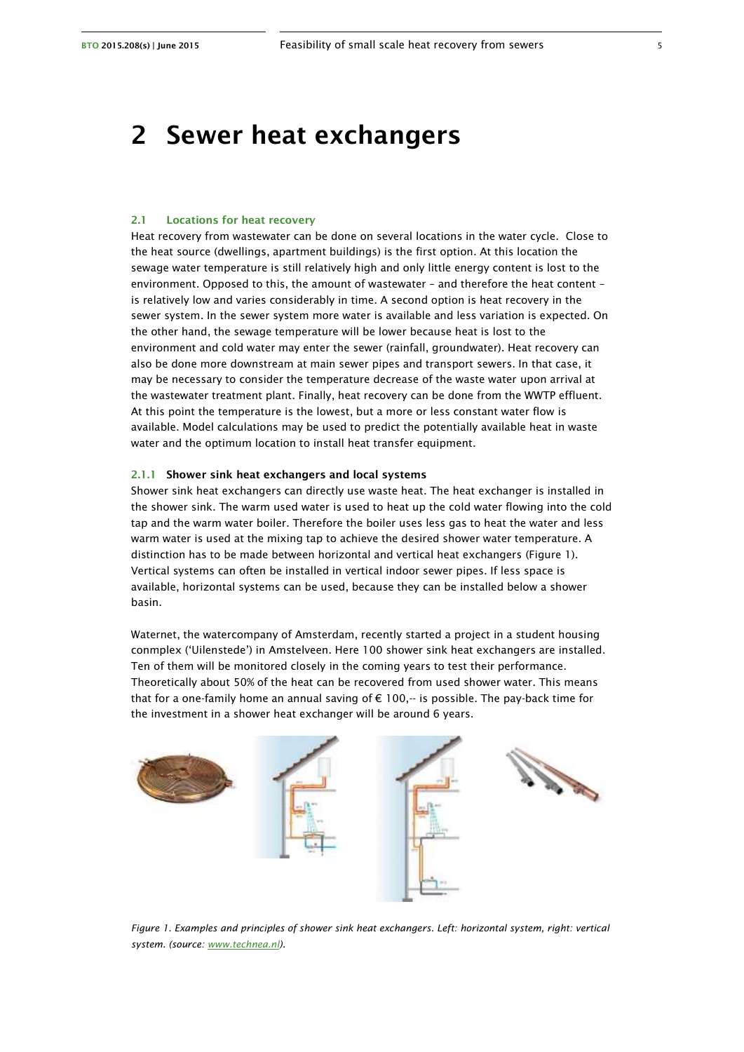### <span id="page-6-0"></span>**2 Sewer heat exchangers**

#### <span id="page-6-1"></span>**2.1 Locations for heat recovery**

Heat recovery from wastewater can be done on several locations in the water cycle. Close to the heat source (dwellings, apartment buildings) is the first option. At this location the sewage water temperature is still relatively high and only little energy content is lost to the environment. Opposed to this, the amount of wastewater – and therefore the heat content – is relatively low and varies considerably in time. A second option is heat recovery in the sewer system. In the sewer system more water is available and less variation is expected. On the other hand, the sewage temperature will be lower because heat is lost to the environment and cold water may enter the sewer (rainfall, groundwater). Heat recovery can also be done more downstream at main sewer pipes and transport sewers. In that case, it may be necessary to consider the temperature decrease of the waste water upon arrival at the wastewater treatment plant. Finally, heat recovery can be done from the WWTP effluent. At this point the temperature is the lowest, but a more or less constant water flow is available. Model calculations may be used to predict the potentially available heat in waste water and the optimum location to install heat transfer equipment.

#### **2.1.1 Shower sink heat exchangers and local systems**

Shower sink heat exchangers can directly use waste heat. The heat exchanger is installed in the shower sink. The warm used water is used to heat up the cold water flowing into the cold tap and the warm water boiler. Therefore the boiler uses less gas to heat the water and less warm water is used at the mixing tap to achieve the desired shower water temperature. A distinction has to be made between horizontal and vertical heat exchangers [\(Figure 1\)](#page-6-2). Vertical systems can often be installed in vertical indoor sewer pipes. If less space is available, horizontal systems can be used, because they can be installed below a shower basin.

Waternet, the watercompany of Amsterdam, recently started a project in a student housing conmplex ('Uilenstede') in Amstelveen. Here 100 shower sink heat exchangers are installed. Ten of them will be monitored closely in the coming years to test their performance. Theoretically about 50% of the heat can be recovered from used shower water. This means that for a one-family home an annual saving of € 100,-- is possible. The pay-back time for the investment in a shower heat exchanger will be around 6 years.

<span id="page-6-2"></span>

*Figure 1. Examples and principles of shower sink heat exchangers. Left: horizontal system, right: vertical system. (source: [www.technea.nl\)](http://www.technea.nl/).*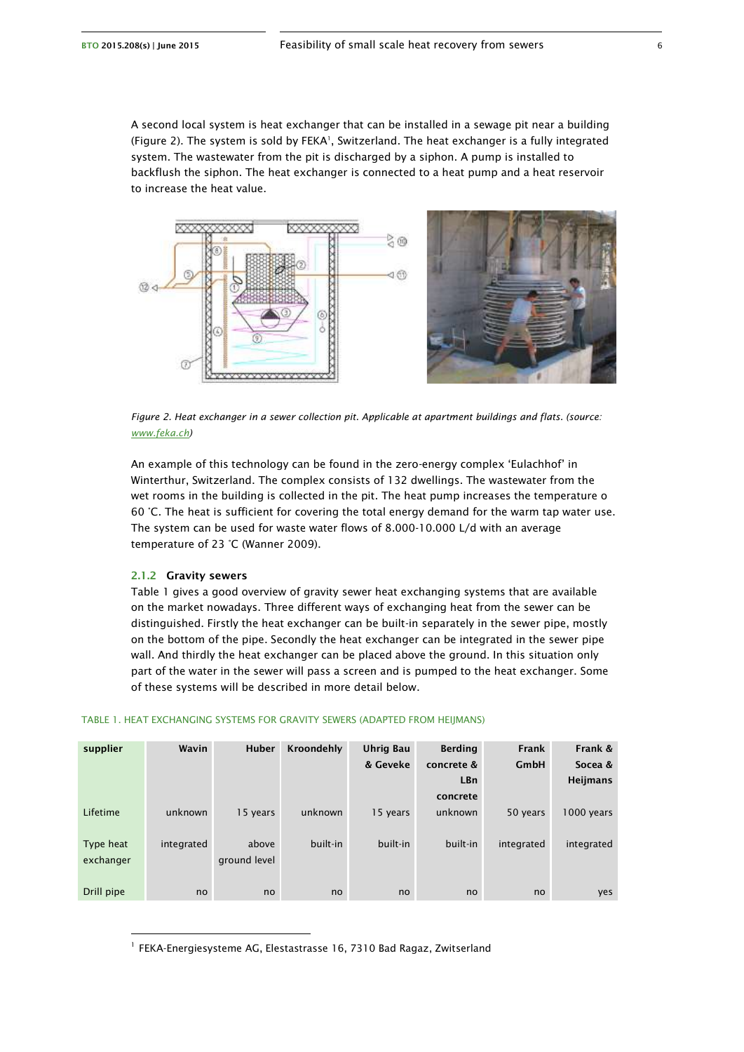A second local system is heat exchanger that can be installed in a sewage pit near a building [\(Figure 2\)](#page-7-0). The system is sold by FEKA<sup>1</sup>, Switzerland. The heat exchanger is a fully integrated system. The wastewater from the pit is discharged by a siphon. A pump is installed to backflush the siphon. The heat exchanger is connected to a heat pump and a heat reservoir to increase the heat value.



<span id="page-7-0"></span>*Figure 2. Heat exchanger in a sewer collection pit. Applicable at apartment buildings and flats. (source: [www.feka.ch\)](http://www.feka.ch/)*

An example of this technology can be found in the zero-energy complex 'Eulachhof' in Winterthur, Switzerland. The complex consists of 132 dwellings. The wastewater from the wet rooms in the building is collected in the pit. The heat pump increases the temperature o 60 °C. The heat is sufficient for covering the total energy demand for the warm tap water use. The system can be used for waste water flows of 8.000-10.000 L/d with an average temperature of 23 °C [\(Wanner 2009\)](#page-15-5).

### **2.1.2 Gravity sewers**

ł

[Table 1](#page-7-1) gives a good overview of gravity sewer heat exchanging systems that are available on the market nowadays. Three different ways of exchanging heat from the sewer can be distinguished. Firstly the heat exchanger can be built-in separately in the sewer pipe, mostly on the bottom of the pipe. Secondly the heat exchanger can be integrated in the sewer pipe wall. And thirdly the heat exchanger can be placed above the ground. In this situation only part of the water in the sewer will pass a screen and is pumped to the heat exchanger. Some of these systems will be described in more detail below.

| supplier   | Wavin      | <b>Huber</b> | Kroondehly | <b>Uhrig Bau</b> | <b>Berding</b> | Frank       | Frank &    |
|------------|------------|--------------|------------|------------------|----------------|-------------|------------|
|            |            |              |            | & Geveke         | concrete &     | <b>GmbH</b> | Socea &    |
|            |            |              |            |                  | <b>LBn</b>     |             | Heijmans   |
|            |            |              |            |                  | concrete       |             |            |
| Lifetime   | unknown    | 15 years     | unknown    | 15 years         | unknown        | 50 years    | 1000 years |
|            |            |              |            |                  |                |             |            |
| Type heat  | integrated | above        | built-in   | built-in         | built-in       | integrated  | integrated |
| exchanger  |            | ground level |            |                  |                |             |            |
|            |            |              |            |                  |                |             |            |
| Drill pipe | no         | no           | no         | no               | no             | no          | yes        |

#### <span id="page-7-1"></span>TABLE 1. HEAT EXCHANGING SYSTEMS FOR GRAVITY SEWERS (ADAPTED FROM HEIJMANS)

<sup>1</sup> FEKA-Energiesysteme AG, Elestastrasse 16, 7310 Bad Ragaz, Zwitserland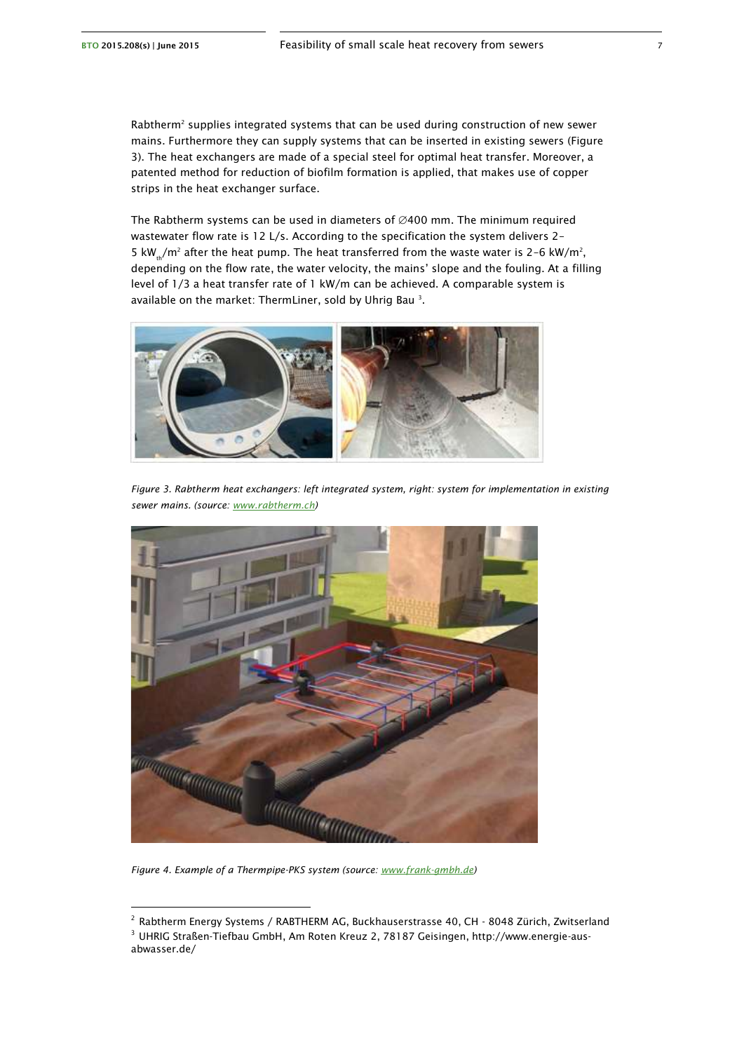Rabtherm<sup>2</sup> supplies integrated systems that can be used during construction of new sewer mains. Furthermore they can supply systems that can be inserted in existing sewers [\(Figure](#page-8-0)  [3\)](#page-8-0). The heat exchangers are made of a special steel for optimal heat transfer. Moreover, a patented method for reduction of biofilm formation is applied, that makes use of copper strips in the heat exchanger surface.

The Rabtherm systems can be used in diameters of  $\varnothing$ 400 mm. The minimum required wastewater flow rate is 12 L/s. According to the specification the system delivers 2– 5 kW<sub>th</sub>/m<sup>2</sup> after the heat pump. The heat transferred from the waste water is 2-6 kW/m<sup>2</sup>, depending on the flow rate, the water velocity, the mains' slope and the fouling. At a filling level of 1/3 a heat transfer rate of 1 kW/m can be achieved. A comparable system is available on the market: ThermLiner, sold by Uhrig Bau<sup>3</sup>.



*Figure 3. Rabtherm heat exchangers: left integrated system, right: system for implementation in existing sewer mains. (source: [www.rabtherm.ch\)](http://www.rabtherm.ch/)*

<span id="page-8-0"></span>

*Figure 4. Example of a Thermpipe-PKS system (source: [www.frank-gmbh.de\)](http://www.frank-gmbh.de/)*

<span id="page-8-1"></span>l

 $^{\rm 2}$  Rabtherm Energy Systems / RABTHERM AG, Buckhauserstrasse 40, CH - 8048 Zürich, Zwitserland <sup>3</sup> UHRIG Straßen-Tiefbau GmbH, Am Roten Kreuz 2, 78187 Geisingen, http://www.energie-ausabwasser.de/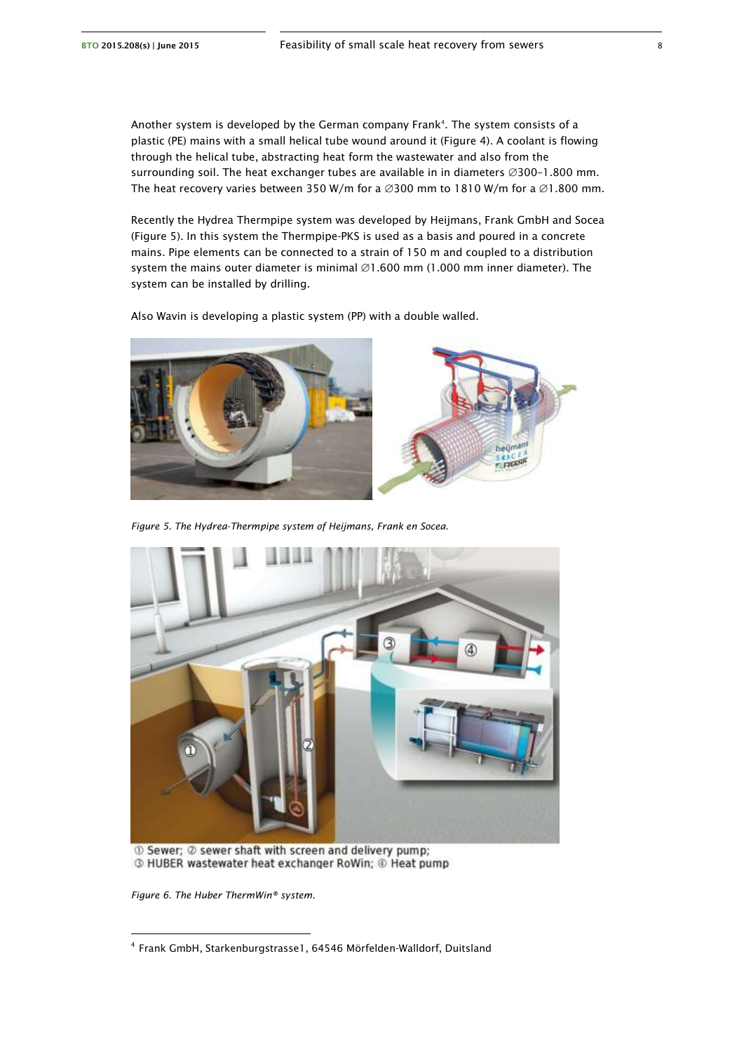Another system is developed by the German company Frank<sup>4</sup>. The system consists of a plastic (PE) mains with a small helical tube wound around it [\(Figure 4\)](#page-8-1). A coolant is flowing through the helical tube, abstracting heat form the wastewater and also from the surrounding soil. The heat exchanger tubes are available in in diameters  $\varnothing$ 300-1.800 mm. The heat recovery varies between 350 W/m for a  $\varnothing$ 300 mm to 1810 W/m for a  $\varnothing$ 1.800 mm.

Recently the Hydrea Thermpipe system was developed by Heijmans, Frank GmbH and Socea [\(Figure 5\)](#page-9-0). In this system the Thermpipe-PKS is used as a basis and poured in a concrete mains. Pipe elements can be connected to a strain of 150 m and coupled to a distribution system the mains outer diameter is minimal  $\varnothing$ 1.600 mm (1.000 mm inner diameter). The system can be installed by drilling.

Also Wavin is developing a plastic system (PP) with a double walled.



*Figure 5. The Hydrea-Thermpipe system of Heijmans, Frank en Socea.*

<span id="page-9-0"></span>

10 Sewer; 2 sewer shaft with screen and delivery pump; THUBER wastewater heat exchanger RoWin; @ Heat pump

<span id="page-9-1"></span>*Figure 6. The Huber ThermWin® system.*

ł

<sup>4</sup> Frank GmbH, Starkenburgstrasse1, 64546 Mörfelden-Walldorf, Duitsland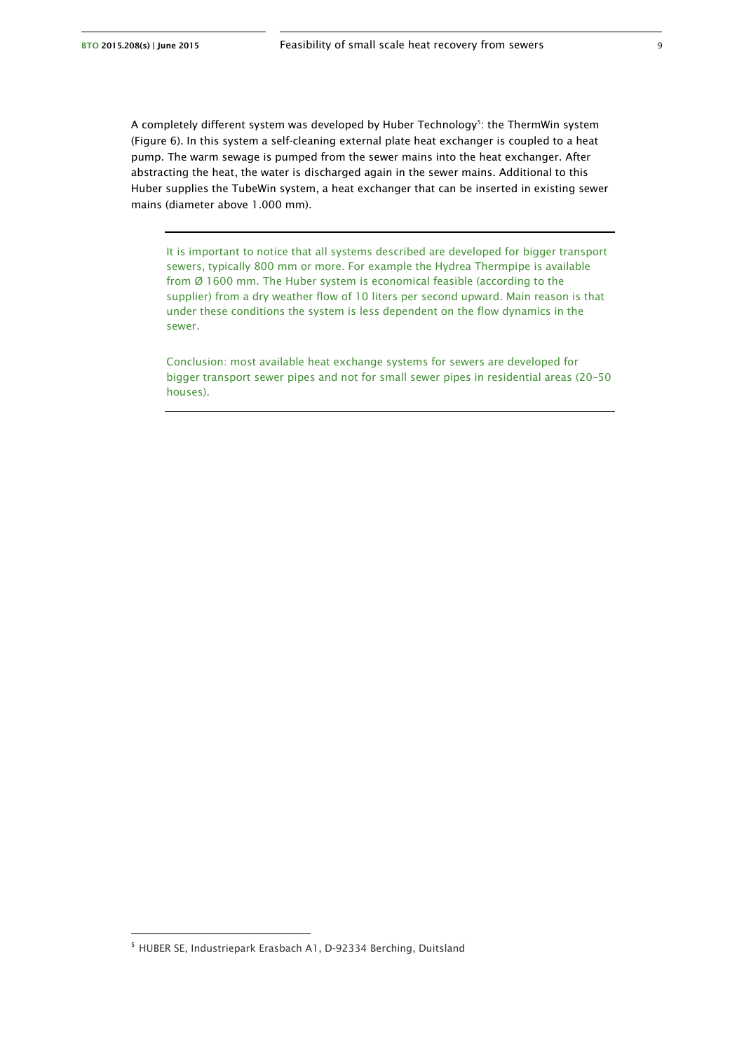A completely different system was developed by Huber Technology<sup>s</sup>: the ThermWin system [\(Figure 6\)](#page-9-1). In this system a self-cleaning external plate heat exchanger is coupled to a heat pump. The warm sewage is pumped from the sewer mains into the heat exchanger. After abstracting the heat, the water is discharged again in the sewer mains. Additional to this Huber supplies the TubeWin system, a heat exchanger that can be inserted in existing sewer mains (diameter above 1.000 mm).

It is important to notice that all systems described are developed for bigger transport sewers, typically 800 mm or more. For example the Hydrea Thermpipe is available from Ø 1600 mm. The Huber system is economical feasible (according to the supplier) from a dry weather flow of 10 liters per second upward. Main reason is that under these conditions the system is less dependent on the flow dynamics in the sewer.

Conclusion: most available heat exchange systems for sewers are developed for bigger transport sewer pipes and not for small sewer pipes in residential areas (20–50 houses).

ł

<sup>5</sup> HUBER SE, Industriepark Erasbach A1, D-92334 Berching, Duitsland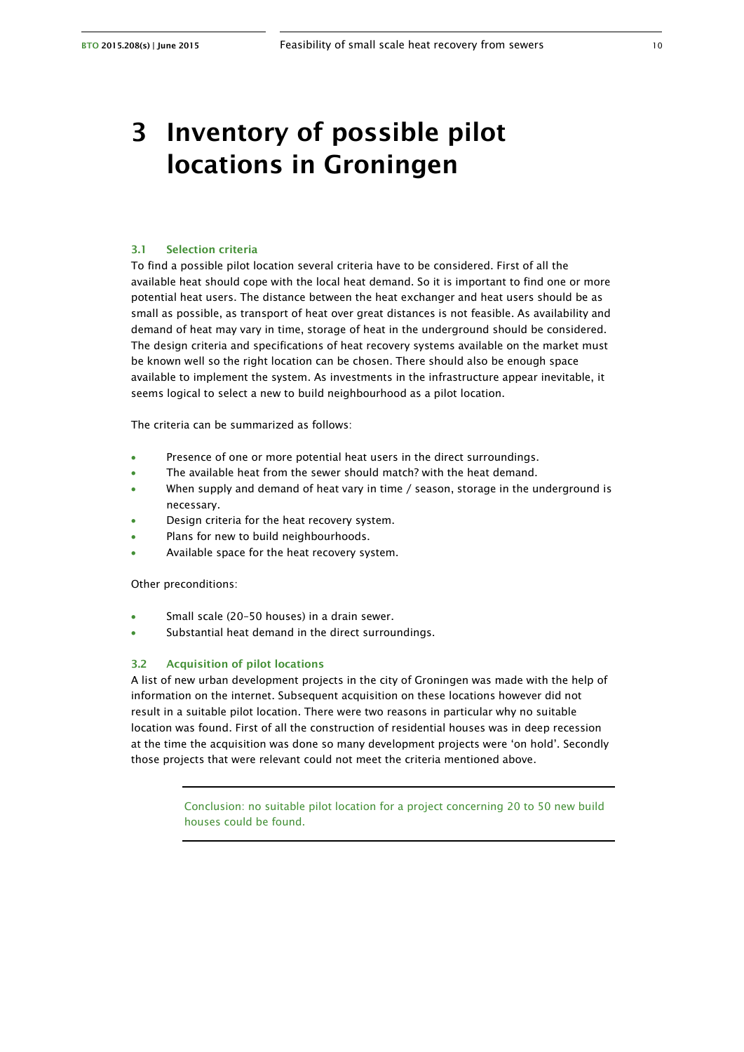## <span id="page-11-0"></span>**3 Inventory of possible pilot locations in Groningen**

#### <span id="page-11-1"></span>**3.1 Selection criteria**

To find a possible pilot location several criteria have to be considered. First of all the available heat should cope with the local heat demand. So it is important to find one or more potential heat users. The distance between the heat exchanger and heat users should be as small as possible, as transport of heat over great distances is not feasible. As availability and demand of heat may vary in time, storage of heat in the underground should be considered. The design criteria and specifications of heat recovery systems available on the market must be known well so the right location can be chosen. There should also be enough space available to implement the system. As investments in the infrastructure appear inevitable, it seems logical to select a new to build neighbourhood as a pilot location.

The criteria can be summarized as follows:

- Presence of one or more potential heat users in the direct surroundings.
- The available heat from the sewer should match? with the heat demand.
- When supply and demand of heat vary in time / season, storage in the underground is necessary.
- Design criteria for the heat recovery system.
- Plans for new to build neighbourhoods.
- Available space for the heat recovery system.

Other preconditions:

- Small scale (20–50 houses) in a drain sewer.
- Substantial heat demand in the direct surroundings.

### <span id="page-11-2"></span>**3.2 Acquisition of pilot locations**

A list of new urban development projects in the city of Groningen was made with the help of information on the internet. Subsequent acquisition on these locations however did not result in a suitable pilot location. There were two reasons in particular why no suitable location was found. First of all the construction of residential houses was in deep recession at the time the acquisition was done so many development projects were 'on hold'. Secondly those projects that were relevant could not meet the criteria mentioned above.

> Conclusion: no suitable pilot location for a project concerning 20 to 50 new build houses could be found.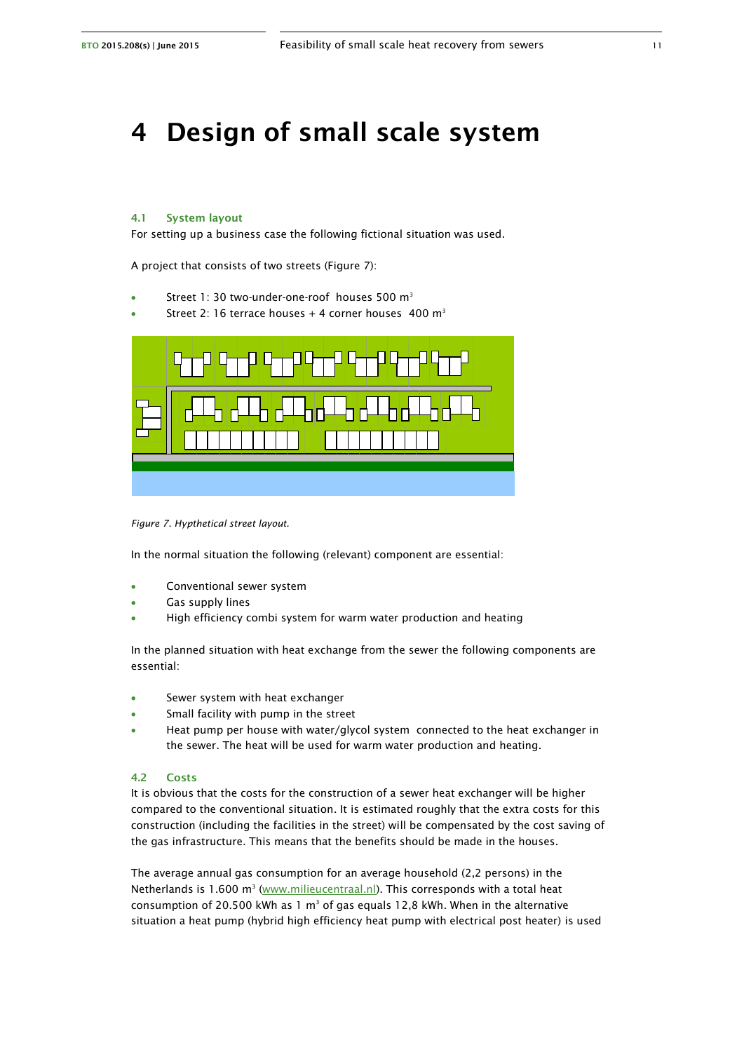### <span id="page-12-0"></span>**4 Design of small scale system**

### <span id="page-12-1"></span>**4.1 System layout**

For setting up a business case the following fictional situation was used.

A project that consists of two streets [\(Figure 7\)](#page-12-3):

- Street 1: 30 two-under-one-roof houses 500 m<sup>3</sup>
- Street 2: 16 terrace houses  $+$  4 corner houses 400 m<sup>3</sup>



*Figure 7. Hypthetical street layout.*

<span id="page-12-3"></span>In the normal situation the following (relevant) component are essential:

- Conventional sewer system
- Gas supply lines
- High efficiency combi system for warm water production and heating

In the planned situation with heat exchange from the sewer the following components are essential:

- Sewer system with heat exchanger
- Small facility with pump in the street
- **•** Heat pump per house with water/glycol system connected to the heat exchanger in the sewer. The heat will be used for warm water production and heating.

### <span id="page-12-2"></span>**4.2 Costs**

It is obvious that the costs for the construction of a sewer heat exchanger will be higher compared to the conventional situation. It is estimated roughly that the extra costs for this construction (including the facilities in the street) will be compensated by the cost saving of the gas infrastructure. This means that the benefits should be made in the houses.

The average annual gas consumption for an average household (2,2 persons) in the Netherlands is  $1.600 \text{ m}^3$  [\(www.milieucentraal.nl\)](http://www.milieucentraal.nl/). This corresponds with a total heat consumption of 20.500 kWh as 1  $m<sup>3</sup>$  of gas equals 12,8 kWh. When in the alternative situation a heat pump (hybrid high efficiency heat pump with electrical post heater) is used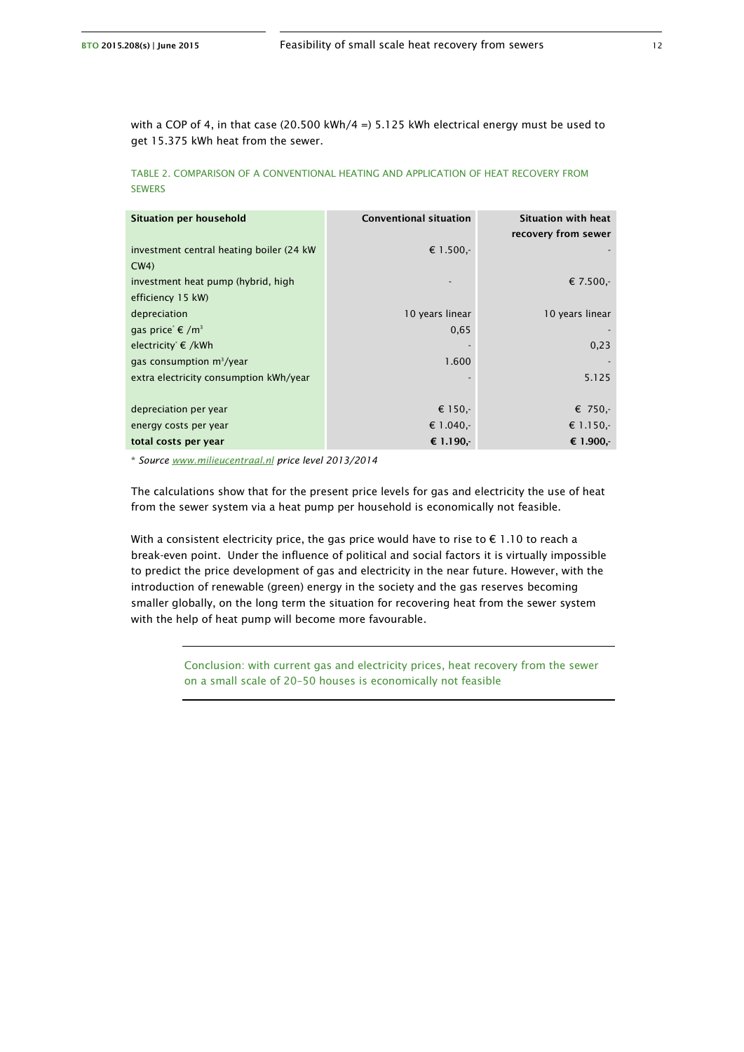with a COP of 4, in that case (20.500 kWh/4 =) 5.125 kWh electrical energy must be used to get 15.375 kWh heat from the sewer.

### TABLE 2. COMPARISON OF A CONVENTIONAL HEATING AND APPLICATION OF HEAT RECOVERY FROM SEWERS

| <b>Situation per household</b>            | <b>Conventional situation</b> | Situation with heat<br>recovery from sewer |
|-------------------------------------------|-------------------------------|--------------------------------------------|
| investment central heating boiler (24 kW) | € 1.500,-                     |                                            |
| CW4                                       |                               |                                            |
| investment heat pump (hybrid, high        |                               | $\epsilon$ 7.500,-                         |
| efficiency 15 kW)                         |                               |                                            |
| depreciation                              | 10 years linear               | 10 years linear                            |
| gas price $\epsilon$ (m <sup>3</sup>      | 0.65                          |                                            |
| electricity $\epsilon$ /kWh               |                               | 0,23                                       |
| gas consumption $m^3$ /year               | 1.600                         |                                            |
| extra electricity consumption kWh/year    |                               | 5.125                                      |
|                                           |                               |                                            |
| depreciation per year                     | € 150,-                       | € 750,-                                    |
| energy costs per year                     | € 1.040,-                     | € 1.150,-                                  |
| total costs per year                      | € 1.190,-                     | € 1.900,                                   |

\* *Sourc[e www.milieucentraal.nl](http://www.milieucentraal.nl/) price level 2013/2014*

The calculations show that for the present price levels for gas and electricity the use of heat from the sewer system via a heat pump per household is economically not feasible.

With a consistent electricity price, the gas price would have to rise to  $\epsilon$  1.10 to reach a break-even point. Under the influence of political and social factors it is virtually impossible to predict the price development of gas and electricity in the near future. However, with the introduction of renewable (green) energy in the society and the gas reserves becoming smaller globally, on the long term the situation for recovering heat from the sewer system with the help of heat pump will become more favourable.

> Conclusion: with current gas and electricity prices, heat recovery from the sewer on a small scale of 20–50 houses is economically not feasible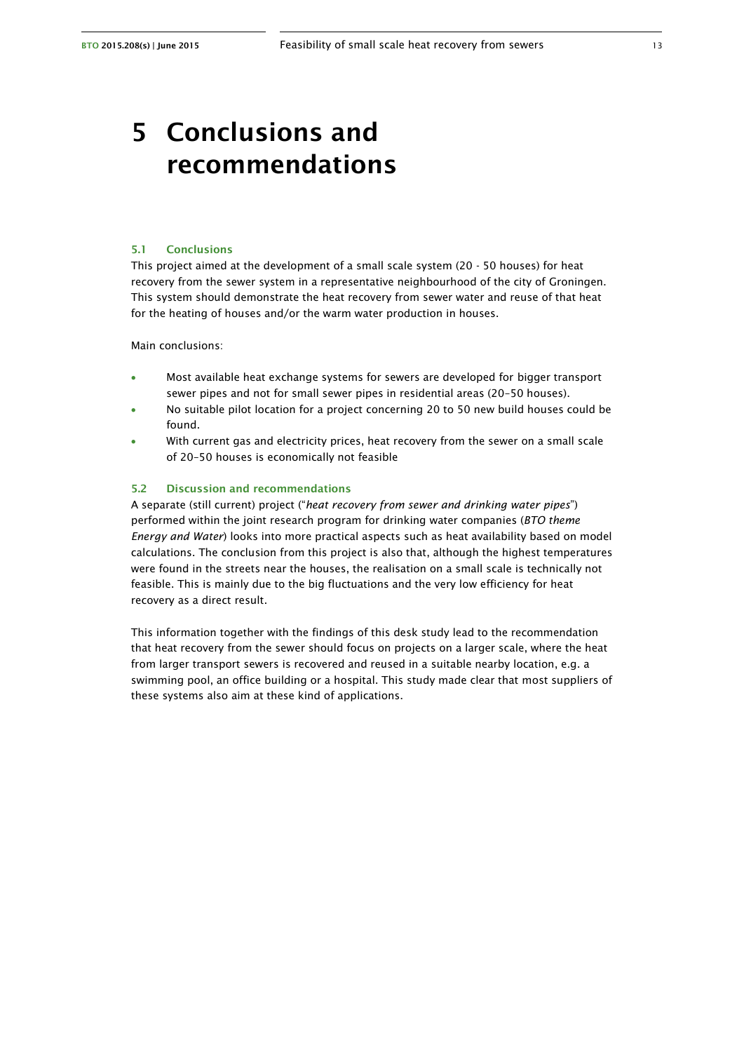### <span id="page-14-0"></span>**5 Conclusions and recommendations**

#### <span id="page-14-1"></span>**5.1 Conclusions**

This project aimed at the development of a small scale system (20 - 50 houses) for heat recovery from the sewer system in a representative neighbourhood of the city of Groningen. This system should demonstrate the heat recovery from sewer water and reuse of that heat for the heating of houses and/or the warm water production in houses.

Main conclusions:

- Most available heat exchange systems for sewers are developed for bigger transport sewer pipes and not for small sewer pipes in residential areas (20–50 houses).
- No suitable pilot location for a project concerning 20 to 50 new build houses could be found.
- With current gas and electricity prices, heat recovery from the sewer on a small scale of 20–50 houses is economically not feasible

### <span id="page-14-2"></span>**5.2 Discussion and recommendations**

A separate (still current) project ("*heat recovery from sewer and drinking water pipes*") performed within the joint research program for drinking water companies (*BTO theme Energy and Water*) looks into more practical aspects such as heat availability based on model calculations. The conclusion from this project is also that, although the highest temperatures were found in the streets near the houses, the realisation on a small scale is technically not feasible. This is mainly due to the big fluctuations and the very low efficiency for heat recovery as a direct result.

This information together with the findings of this desk study lead to the recommendation that heat recovery from the sewer should focus on projects on a larger scale, where the heat from larger transport sewers is recovered and reused in a suitable nearby location, e.g. a swimming pool, an office building or a hospital. This study made clear that most suppliers of these systems also aim at these kind of applications.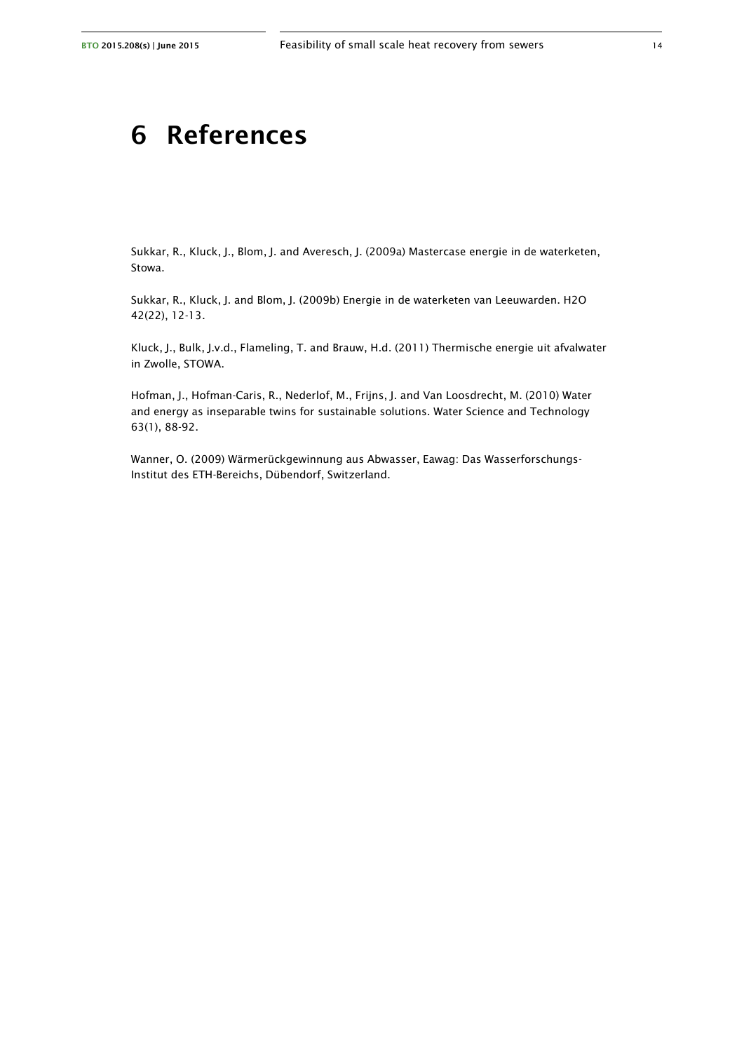### <span id="page-15-0"></span>**6 References**

<span id="page-15-1"></span>Sukkar, R., Kluck, J., Blom, J. and Averesch, J. (2009a) Mastercase energie in de waterketen, Stowa.

<span id="page-15-2"></span>Sukkar, R., Kluck, J. and Blom, J. (2009b) Energie in de waterketen van Leeuwarden. H2O 42(22), 12-13.

<span id="page-15-3"></span>Kluck, J., Bulk, J.v.d., Flameling, T. and Brauw, H.d. (2011) Thermische energie uit afvalwater in Zwolle, STOWA.

<span id="page-15-4"></span>Hofman, J., Hofman-Caris, R., Nederlof, M., Frijns, J. and Van Loosdrecht, M. (2010) Water and energy as inseparable twins for sustainable solutions. Water Science and Technology 63(1), 88-92.

<span id="page-15-5"></span>Wanner, O. (2009) Wärmerückgewinnung aus Abwasser, Eawag: Das Wasserforschungs-Institut des ETH-Bereichs, Dübendorf, Switzerland.